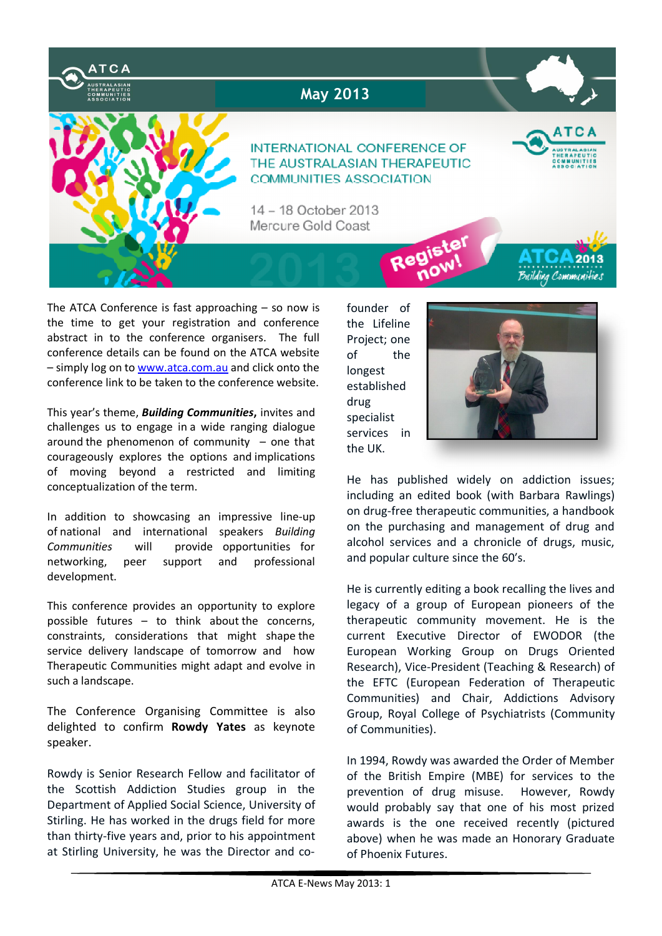

The ATCA Conference is fast approaching – so now is the time to get your registration and conference abstract in to the conference organisers. The full conference details can be found on the ATCA website – simply log on to www.atca.com.au and click onto the conference link to be taken to the conference website.

This year's theme, *Building Communities***,** invites and challenges us to engage in a wide ranging dialogue around the phenomenon of community  $-$  one that courageously explores the options and implications of moving beyond a restricted and limiting conceptualization of the term.

In addition to showcasing an impressive line-up of national and international speakers *Building Communities* will provide opportunities for networking, peer support and professional development.

This conference provides an opportunity to explore possible futures – to think about the concerns, constraints, considerations that might shape the service delivery landscape of tomorrow and how Therapeutic Communities might adapt and evolve in such a landscape.

The Conference Organising Committee is also delighted to confirm **Rowdy Yates** as keynote speaker.

Rowdy is Senior Research Fellow and facilitator of the Scottish Addiction Studies group in the Department of Applied Social Science, University of Stirling. He has worked in the drugs field for more than thirty-five years and, prior to his appointment at Stirling University, he was the Director and cofounder of the Lifeline Project; one of the longest established drug specialist services in the UK.



He has published widely on addiction issues; including an edited book (with Barbara Rawlings) on drug-free therapeutic communities, a handbook on the purchasing and management of drug and alcohol services and a chronicle of drugs, music, and popular culture since the 60′s.

He is currently editing a book recalling the lives and legacy of a group of European pioneers of the therapeutic community movement. He is the current Executive Director of EWODOR (the European Working Group on Drugs Oriented Research), Vice-President (Teaching & Research) of the EFTC (European Federation of Therapeutic Communities) and Chair, Addictions Advisory Group, Royal College of Psychiatrists (Community of Communities).

In 1994, Rowdy was awarded the Order of Member of the British Empire (MBE) for services to the prevention of drug misuse. However, Rowdy would probably say that one of his most prized awards is the one received recently (pictured above) when he was made an Honorary Graduate of Phoenix Futures.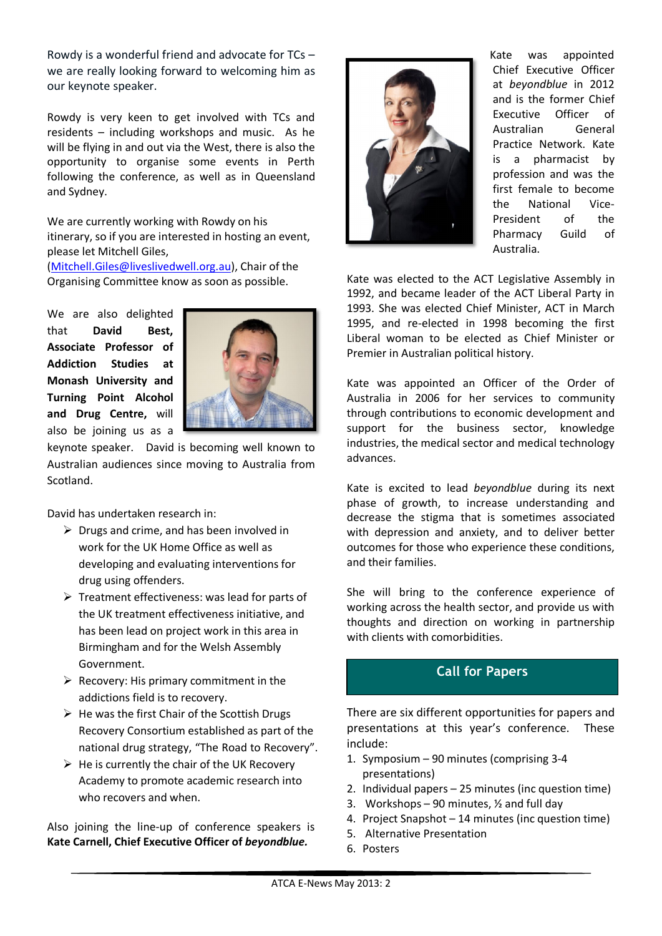Rowdy is a wonderful friend and advocate for TCs – we are really looking forward to welcoming him as our keynote speaker.

Rowdy is very keen to get involved with TCs and residents – including workshops and music. As he will be flying in and out via the West, there is also the opportunity to organise some events in Perth following the conference, as well as in Queensland and Sydney.

We are currently working with Rowdy on his itinerary, so if you are interested in hosting an event, please let Mitchell Giles,

(Mitchell.Giles@liveslivedwell.org.au), Chair of the Organising Committee know as soon as possible.

We are also delighted that **David Best, Associate Professor of Addiction Studies at Monash University and Turning Point Alcohol and Drug Centre,** will also be joining us as a



keynote speaker. David is becoming well known to Australian audiences since moving to Australia from Scotland.

David has undertaken research in:

- $\triangleright$  Drugs and crime, and has been involved in work for the UK Home Office as well as developing and evaluating interventions for drug using offenders.
- $\triangleright$  Treatment effectiveness: was lead for parts of the UK treatment effectiveness initiative, and has been lead on project work in this area in Birmingham and for the Welsh Assembly Government.
- $\triangleright$  Recovery: His primary commitment in the addictions field is to recovery.
- $\triangleright$  He was the first Chair of the Scottish Drugs Recovery Consortium established as part of the national drug strategy, "The Road to Recovery".
- $\triangleright$  He is currently the chair of the UK Recovery Academy to promote academic research into who recovers and when.

Also joining the line-up of conference speakers is **Kate Carnell, Chief Executive Officer of** *beyondblue.*



Kate was appointed Chief Executive Officer at *beyondblue* in 2012 and is the former Chief Executive Officer of Australian General Practice Network. Kate is a pharmacist by profession and was the first female to become the National Vice-President of the Pharmacy Guild of Australia.

Kate was elected to the ACT Legislative Assembly in 1992, and became leader of the ACT Liberal Party in 1993. She was elected Chief Minister, ACT in March 1995, and re-elected in 1998 becoming the first Liberal woman to be elected as Chief Minister or Premier in Australian political history.

Kate was appointed an Officer of the Order of Australia in 2006 for her services to community through contributions to economic development and support for the business sector, knowledge industries, the medical sector and medical technology advances.

Kate is excited to lead *beyondblue* during its next phase of growth, to increase understanding and decrease the stigma that is sometimes associated with depression and anxiety, and to deliver better outcomes for those who experience these conditions, and their families.

She will bring to the conference experience of working across the health sector, and provide us with thoughts and direction on working in partnership with clients with comorbidities.

# **Call for Papers**

There are six different opportunities for papers and presentations at this year's conference. These include:

- 1. Symposium 90 minutes (comprising 3-4 presentations)
- 2. Individual papers 25 minutes (inc question time)
- 3. Workshops  $-90$  minutes,  $\frac{1}{2}$  and full day
- 4. Project Snapshot 14 minutes (inc question time)
- 5. Alternative Presentation
- 6. Posters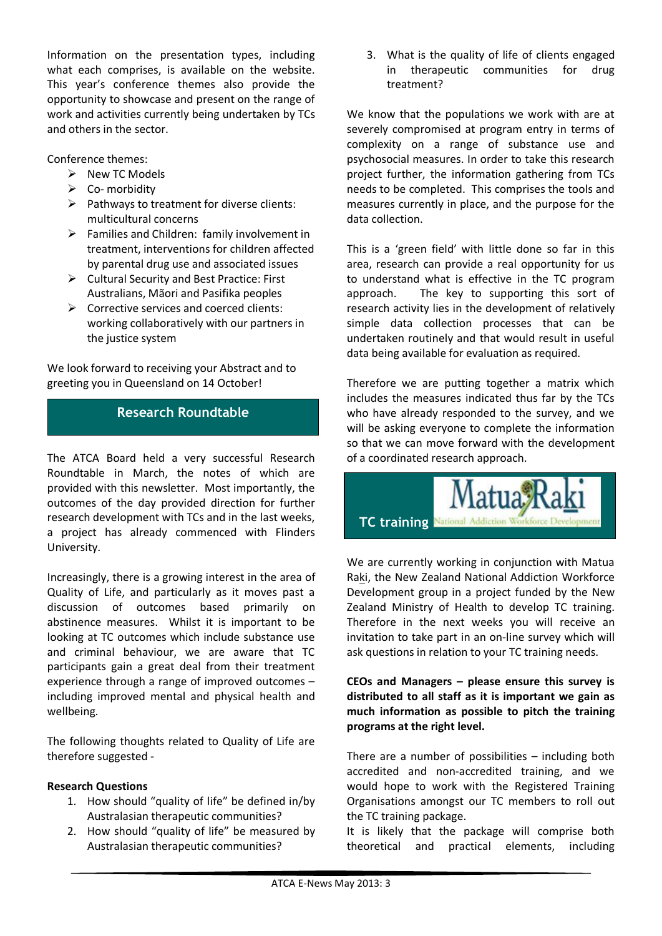Information on the presentation types, including what each comprises, is available on the website. This year's conference themes also provide the opportunity to showcase and present on the range of work and activities currently being undertaken by TCs and others in the sector.

Conference themes:

- $\triangleright$  New TC Models
- $\triangleright$  Co- morbidity
- $\triangleright$  Pathways to treatment for diverse clients: multicultural concerns
- $\triangleright$  Families and Children: family involvement in treatment, interventions for children affected by parental drug use and associated issues
- $\triangleright$  Cultural Security and Best Practice: First Australians, Mãori and Pasifika peoples
- $\triangleright$  Corrective services and coerced clients: working collaboratively with our partners in the justice system

We look forward to receiving your Abstract and to greeting you in Queensland on 14 October!

# **Research Roundtable**

The ATCA Board held a very successful Research Roundtable in March, the notes of which are provided with this newsletter. Most importantly, the outcomes of the day provided direction for further research development with TCs and in the last weeks, a project has already commenced with Flinders University.

Increasingly, there is a growing interest in the area of Quality of Life, and particularly as it moves past a discussion of outcomes based primarily on abstinence measures. Whilst it is important to be looking at TC outcomes which include substance use and criminal behaviour, we are aware that TC participants gain a great deal from their treatment experience through a range of improved outcomes – including improved mental and physical health and wellbeing.

The following thoughts related to Quality of Life are therefore suggested -

#### **Research Questions**

- 1. How should "quality of life" be defined in/by Australasian therapeutic communities?
- 2. How should "quality of life" be measured by Australasian therapeutic communities?

3. What is the quality of life of clients engaged in therapeutic communities for drug treatment?

We know that the populations we work with are at severely compromised at program entry in terms of complexity on a range of substance use and psychosocial measures. In order to take this research project further, the information gathering from TCs needs to be completed. This comprises the tools and measures currently in place, and the purpose for the data collection.

This is a 'green field' with little done so far in this area, research can provide a real opportunity for us to understand what is effective in the TC program approach. The key to supporting this sort of research activity lies in the development of relatively simple data collection processes that can be undertaken routinely and that would result in useful data being available for evaluation as required.

Therefore we are putting together a matrix which includes the measures indicated thus far by the TCs who have already responded to the survey, and we will be asking everyone to complete the information so that we can move forward with the development of a coordinated research approach.



We are currently working in conjunction with Matua Raki, the New Zealand National Addiction Workforce Development group in a project funded by the New Zealand Ministry of Health to develop TC training. Therefore in the next weeks you will receive an invitation to take part in an on-line survey which will ask questions in relation to your TC training needs.

**CEOs and Managers – please ensure this survey is distributed to all staff as it is important we gain as much information as possible to pitch the training programs at the right level.**

There are a number of possibilities – including both accredited and non-accredited training, and we would hope to work with the Registered Training Organisations amongst our TC members to roll out the TC training package.

It is likely that the package will comprise both theoretical and practical elements, including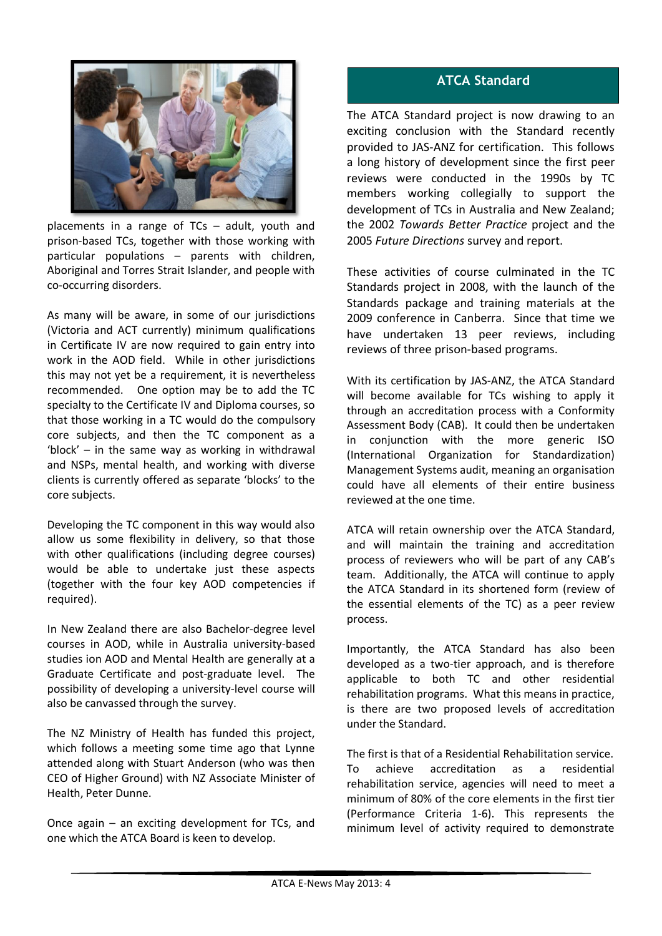

placements in a range of TCs – adult, youth and prison-based TCs, together with those working with particular populations – parents with children, Aboriginal and Torres Strait Islander, and people with co-occurring disorders.

As many will be aware, in some of our jurisdictions (Victoria and ACT currently) minimum qualifications in Certificate IV are now required to gain entry into work in the AOD field. While in other jurisdictions this may not yet be a requirement, it is nevertheless recommended. One option may be to add the TC specialty to the Certificate IV and Diploma courses, so that those working in a TC would do the compulsory core subjects, and then the TC component as a 'block' – in the same way as working in withdrawal and NSPs, mental health, and working with diverse clients is currently offered as separate 'blocks' to the core subjects.

Developing the TC component in this way would also allow us some flexibility in delivery, so that those with other qualifications (including degree courses) would be able to undertake just these aspects (together with the four key AOD competencies if required).

In New Zealand there are also Bachelor-degree level courses in AOD, while in Australia university-based studies ion AOD and Mental Health are generally at a Graduate Certificate and post-graduate level. The possibility of developing a university-level course will also be canvassed through the survey.

The NZ Ministry of Health has funded this project, which follows a meeting some time ago that Lynne attended along with Stuart Anderson (who was then CEO of Higher Ground) with NZ Associate Minister of Health, Peter Dunne.

Once again – an exciting development for TCs, and one which the ATCA Board is keen to develop.

# **ATCA Standard**

The ATCA Standard project is now drawing to an exciting conclusion with the Standard recently provided to JAS-ANZ for certification. This follows a long history of development since the first peer reviews were conducted in the 1990s by TC members working collegially to support the development of TCs in Australia and New Zealand; the 2002 *Towards Better Practice* project and the 2005 *Future Directions* survey and report.

These activities of course culminated in the TC Standards project in 2008, with the launch of the Standards package and training materials at the 2009 conference in Canberra. Since that time we have undertaken 13 peer reviews, including reviews of three prison-based programs.

With its certification by JAS-ANZ, the ATCA Standard will become available for TCs wishing to apply it through an accreditation process with a Conformity Assessment Body (CAB). It could then be undertaken in conjunction with the more generic ISO (International Organization for Standardization) Management Systems audit, meaning an organisation could have all elements of their entire business reviewed at the one time.

ATCA will retain ownership over the ATCA Standard, and will maintain the training and accreditation process of reviewers who will be part of any CAB's team. Additionally, the ATCA will continue to apply the ATCA Standard in its shortened form (review of the essential elements of the TC) as a peer review process.

Importantly, the ATCA Standard has also been developed as a two-tier approach, and is therefore applicable to both TC and other residential rehabilitation programs. What this means in practice, is there are two proposed levels of accreditation under the Standard.

The first is that of a Residential Rehabilitation service. To achieve accreditation as a residential rehabilitation service, agencies will need to meet a minimum of 80% of the core elements in the first tier (Performance Criteria 1-6). This represents the minimum level of activity required to demonstrate